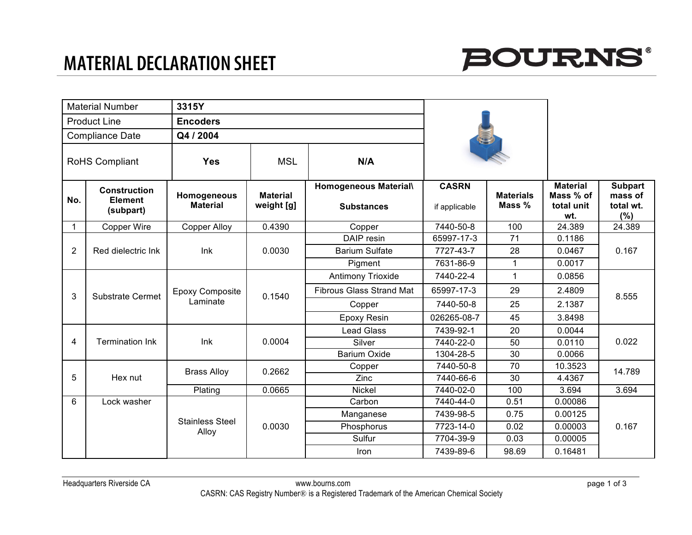

|                        | <b>Material Number</b>                             | 3315Y                              |                               |                                            |                               |                            |                                                   |                                               |
|------------------------|----------------------------------------------------|------------------------------------|-------------------------------|--------------------------------------------|-------------------------------|----------------------------|---------------------------------------------------|-----------------------------------------------|
| <b>Product Line</b>    |                                                    | <b>Encoders</b>                    |                               |                                            |                               |                            |                                                   |                                               |
| <b>Compliance Date</b> |                                                    | Q4 / 2004                          |                               |                                            |                               |                            |                                                   |                                               |
| RoHS Compliant         |                                                    | <b>Yes</b>                         | <b>MSL</b>                    | N/A                                        |                               |                            |                                                   |                                               |
| No.                    | <b>Construction</b><br><b>Element</b><br>(subpart) | Homogeneous<br><b>Material</b>     | <b>Material</b><br>weight [g] | Homogeneous Material\<br><b>Substances</b> | <b>CASRN</b><br>if applicable | <b>Materials</b><br>Mass % | <b>Material</b><br>Mass % of<br>total unit<br>wt. | <b>Subpart</b><br>mass of<br>total wt.<br>(%) |
| $\mathbf 1$            | Copper Wire                                        | <b>Copper Alloy</b>                | 0.4390                        | Copper                                     | 7440-50-8                     | 100                        | 24.389                                            | 24.389                                        |
|                        |                                                    | Ink                                | 0.0030                        | DAIP resin                                 | 65997-17-3                    | 71                         | 0.1186                                            | 0.167                                         |
| 2                      | Red dielectric Ink                                 |                                    |                               | <b>Barium Sulfate</b>                      | 7727-43-7                     | 28                         | 0.0467                                            |                                               |
|                        |                                                    |                                    |                               | Pigment                                    | 7631-86-9                     | 1                          | 0.0017                                            |                                               |
|                        | <b>Substrate Cermet</b>                            | <b>Epoxy Composite</b><br>Laminate | 0.1540                        | Antimony Trioxide                          | 7440-22-4                     | 1                          | 0.0856                                            | 8.555                                         |
| 3                      |                                                    |                                    |                               | <b>Fibrous Glass Strand Mat</b>            | 65997-17-3                    | 29                         | 2.4809                                            |                                               |
|                        |                                                    |                                    |                               | Copper                                     | 7440-50-8                     | 25                         | 2.1387                                            |                                               |
|                        |                                                    |                                    |                               | <b>Epoxy Resin</b>                         | 026265-08-7                   | 45                         | 3.8498                                            |                                               |
|                        | <b>Termination Ink</b>                             | Ink                                | 0.0004                        | <b>Lead Glass</b>                          | 7439-92-1                     | 20                         | 0.0044                                            | 0.022                                         |
| $\overline{4}$         |                                                    |                                    |                               | Silver                                     | 7440-22-0                     | 50                         | 0.0110                                            |                                               |
|                        |                                                    |                                    |                               | <b>Barium Oxide</b>                        | 1304-28-5                     | 30                         | 0.0066                                            |                                               |
|                        | Hex nut                                            | <b>Brass Alloy</b>                 | 0.2662                        | Copper                                     | 7440-50-8                     | 70                         | 10.3523                                           | 14.789                                        |
| 5                      |                                                    |                                    |                               | Zinc                                       | 7440-66-6                     | 30                         | 4.4367                                            |                                               |
|                        |                                                    | Plating                            | 0.0665                        | <b>Nickel</b>                              | 7440-02-0                     | 100                        | 3.694                                             | 3.694                                         |
| 6                      | Lock washer                                        | <b>Stainless Steel</b>             | 0.0030                        | Carbon                                     | 7440-44-0                     | 0.51                       | 0.00086                                           | 0.167                                         |
|                        |                                                    |                                    |                               | Manganese                                  | 7439-98-5                     | 0.75                       | 0.00125                                           |                                               |
|                        |                                                    | Alloy                              |                               | Phosphorus                                 | 7723-14-0                     | 0.02                       | 0.00003                                           |                                               |
|                        |                                                    |                                    |                               | Sulfur                                     | 7704-39-9                     | 0.03                       | 0.00005                                           |                                               |
|                        |                                                    |                                    |                               | Iron                                       | 7439-89-6                     | 98.69                      | 0.16481                                           |                                               |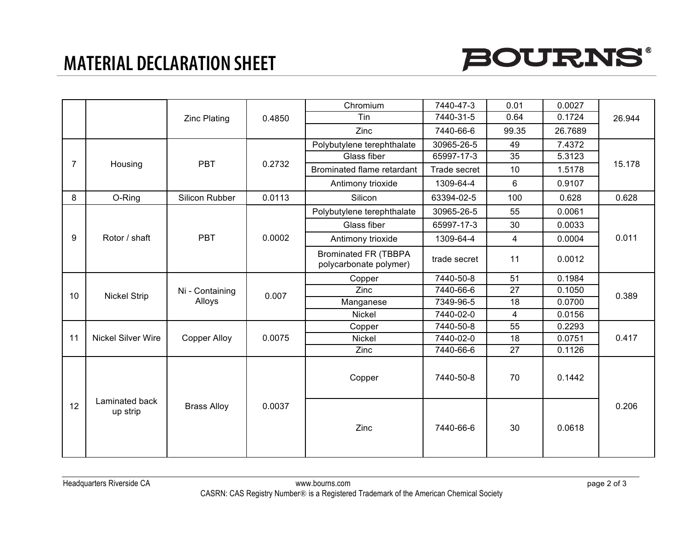## **MATERIAL DECLARATION SHEET**



|                |                            | <b>Zinc Plating</b>       | 0.4850 | Chromium                                              | 7440-47-3    | 0.01            | 0.0027  | 26.944 |
|----------------|----------------------------|---------------------------|--------|-------------------------------------------------------|--------------|-----------------|---------|--------|
|                |                            |                           |        | Tin                                                   | 7440-31-5    | 0.64            | 0.1724  |        |
|                |                            |                           |        | Zinc                                                  | 7440-66-6    | 99.35           | 26.7689 |        |
|                | Housing                    | <b>PBT</b>                | 0.2732 | Polybutylene terephthalate                            | 30965-26-5   | 49              | 7.4372  | 15.178 |
| $\overline{7}$ |                            |                           |        | Glass fiber                                           | 65997-17-3   | $\overline{35}$ | 5.3123  |        |
|                |                            |                           |        | Brominated flame retardant                            | Trade secret | 10              | 1.5178  |        |
|                |                            |                           |        | Antimony trioxide                                     | 1309-64-4    | 6               | 0.9107  |        |
| 8              | O-Ring                     | Silicon Rubber            | 0.0113 | Silicon                                               | 63394-02-5   | 100             | 0.628   | 0.628  |
|                | Rotor / shaft              | <b>PBT</b>                | 0.0002 | Polybutylene terephthalate                            | 30965-26-5   | 55              | 0.0061  | 0.011  |
|                |                            |                           |        | Glass fiber                                           | 65997-17-3   | 30              | 0.0033  |        |
| 9              |                            |                           |        | Antimony trioxide                                     | 1309-64-4    | $\overline{4}$  | 0.0004  |        |
|                |                            |                           |        | <b>Brominated FR (TBBPA</b><br>polycarbonate polymer) | trade secret | 11              | 0.0012  |        |
|                | <b>Nickel Strip</b>        | Ni - Containing<br>Alloys | 0.007  | Copper                                                | 7440-50-8    | 51              | 0.1984  | 0.389  |
| 10             |                            |                           |        | Zinc                                                  | 7440-66-6    | 27              | 0.1050  |        |
|                |                            |                           |        | Manganese                                             | 7349-96-5    | 18              | 0.0700  |        |
|                |                            |                           |        | Nickel                                                | 7440-02-0    | $\overline{4}$  | 0.0156  |        |
|                | <b>Nickel Silver Wire</b>  | <b>Copper Alloy</b>       | 0.0075 | Copper                                                | 7440-50-8    | 55              | 0.2293  | 0.417  |
| 11             |                            |                           |        | Nickel                                                | 7440-02-0    | 18              | 0.0751  |        |
|                |                            |                           |        | Zinc                                                  | 7440-66-6    | 27              | 0.1126  |        |
|                |                            |                           |        | Copper                                                | 7440-50-8    | 70              | 0.1442  |        |
| 12             | Laminated back<br>up strip | <b>Brass Alloy</b>        | 0.0037 | Zinc                                                  | 7440-66-6    | 30              | 0.0618  | 0.206  |